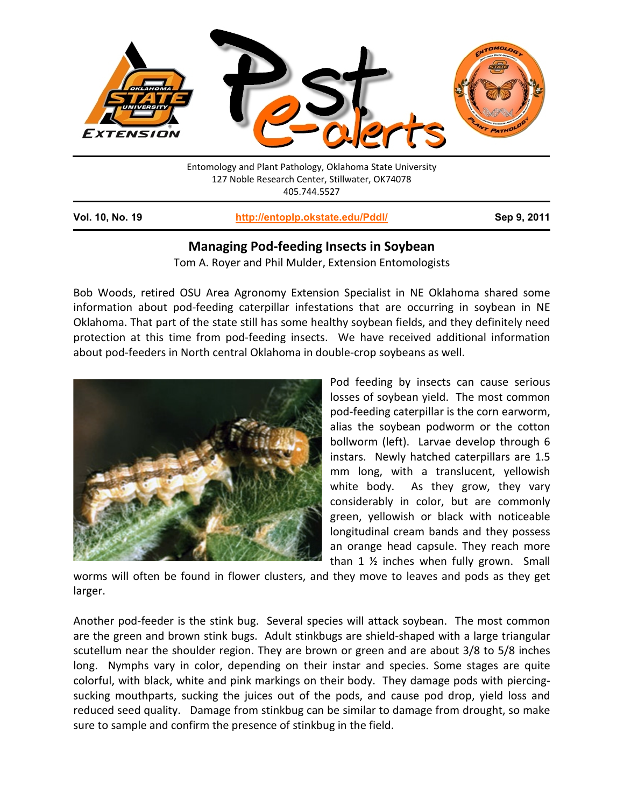

**Vol. 10, No. 19 <http://entoplp.okstate.edu/Pddl/> Sep 9, 2011**

## **Managing Pod-feeding Insects in Soybean**

Tom A. Royer and Phil Mulder, Extension Entomologists

Bob Woods, retired OSU Area Agronomy Extension Specialist in NE Oklahoma shared some information about pod-feeding caterpillar infestations that are occurring in soybean in NE Oklahoma. That part of the state still has some healthy soybean fields, and they definitely need protection at this time from pod-feeding insects. We have received additional information about pod-feeders in North central Oklahoma in double-crop soybeans as well.



Pod feeding by insects can cause serious losses of soybean yield. The most common pod-feeding caterpillar is the corn earworm, alias the soybean podworm or the cotton bollworm (left). Larvae develop through 6 instars. Newly hatched caterpillars are 1.5 mm long, with a translucent, yellowish white body. As they grow, they vary considerably in color, but are commonly green, yellowish or black with noticeable longitudinal cream bands and they possess an orange head capsule. They reach more than 1 ½ inches when fully grown. Small

worms will often be found in flower clusters, and they move to leaves and pods as they get larger.

Another pod-feeder is the stink bug. Several species will attack soybean. The most common are the green and brown stink bugs. Adult stinkbugs are shield-shaped with a large triangular scutellum near the shoulder region. They are brown or green and are about 3/8 to 5/8 inches long. Nymphs vary in color, depending on their instar and species. Some stages are quite colorful, with black, white and pink markings on their body. They damage pods with piercingsucking mouthparts, sucking the juices out of the pods, and cause pod drop, yield loss and reduced seed quality. Damage from stinkbug can be similar to damage from drought, so make sure to sample and confirm the presence of stinkbug in the field.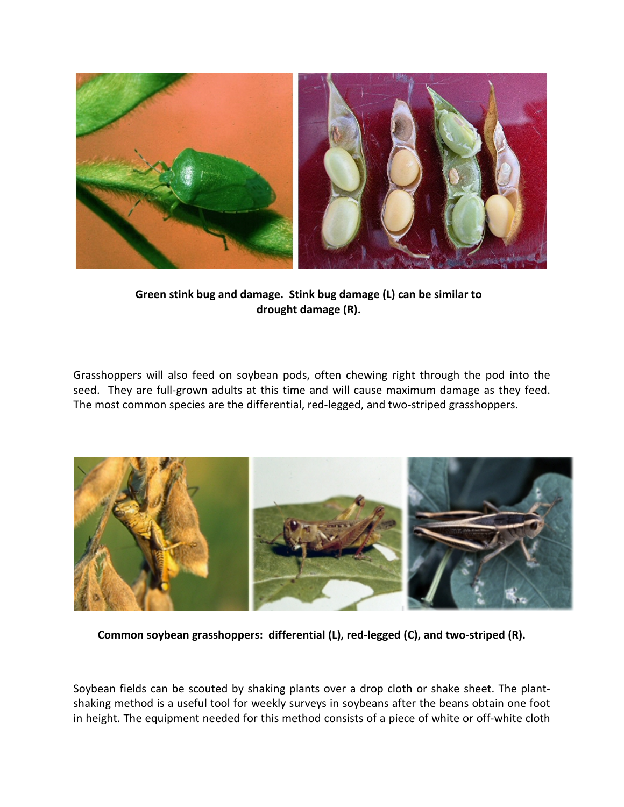

**Green stink bug and damage. Stink bug damage (L) can be similar to drought damage (R).**

Grasshoppers will also feed on soybean pods, often chewing right through the pod into the seed. They are full-grown adults at this time and will cause maximum damage as they feed. The most common species are the differential, red-legged, and two-striped grasshoppers.



**Common soybean grasshoppers: differential (L), red-legged (C), and two-striped (R).**

Soybean fields can be scouted by shaking plants over a drop cloth or shake sheet. The plantshaking method is a useful tool for weekly surveys in soybeans after the beans obtain one foot in height. The equipment needed for this method consists of a piece of white or off-white cloth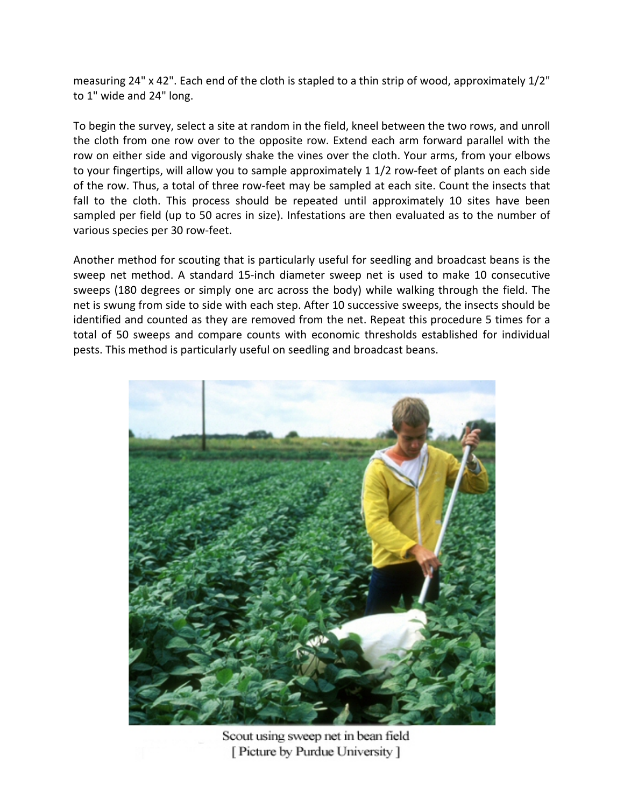measuring 24" x 42". Each end of the cloth is stapled to a thin strip of wood, approximately 1/2" to 1" wide and 24" long.

To begin the survey, select a site at random in the field, kneel between the two rows, and unroll the cloth from one row over to the opposite row. Extend each arm forward parallel with the row on either side and vigorously shake the vines over the cloth. Your arms, from your elbows to your fingertips, will allow you to sample approximately 1 1/2 row-feet of plants on each side of the row. Thus, a total of three row-feet may be sampled at each site. Count the insects that fall to the cloth. This process should be repeated until approximately 10 sites have been sampled per field (up to 50 acres in size). Infestations are then evaluated as to the number of various species per 30 row-feet.

Another method for scouting that is particularly useful for seedling and broadcast beans is the sweep net method. A standard 15-inch diameter sweep net is used to make 10 consecutive sweeps (180 degrees or simply one arc across the body) while walking through the field. The net is swung from side to side with each step. After 10 successive sweeps, the insects should be identified and counted as they are removed from the net. Repeat this procedure 5 times for a total of 50 sweeps and compare counts with economic thresholds established for individual pests. This method is particularly useful on seedling and broadcast beans.



Scout using sweep net in bean field [ Picture by Purdue University ]